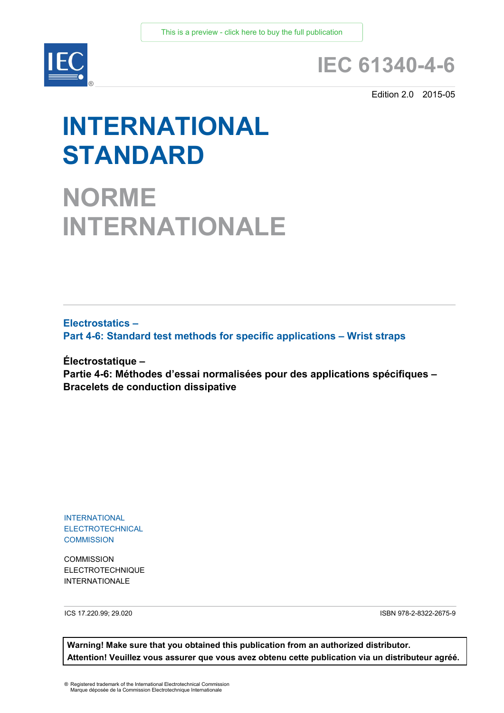

## **IEC 61340-4-6**

Edition 2.0 2015-05

# **INTERNATIONAL STANDARD**

**NORME INTERNATIONALE**

**Electrostatics – Part 4-6: Standard test methods for specific applications – Wrist straps**

**Électrostatique – Partie 4-6: Méthodes d'essai normalisées pour des applications spécifiques – Bracelets de conduction dissipative**

INTERNATIONAL **ELECTROTECHNICAL COMMISSION** 

**COMMISSION** ELECTROTECHNIQUE INTERNATIONALE

ICS 17.220.99; 29.020 ISBN 978-2-8322-2675-9

**Warning! Make sure that you obtained this publication from an authorized distributor. Attention! Veuillez vous assurer que vous avez obtenu cette publication via un distributeur agréé.**

® Registered trademark of the International Electrotechnical Commission Marque déposée de la Commission Electrotechnique Internationale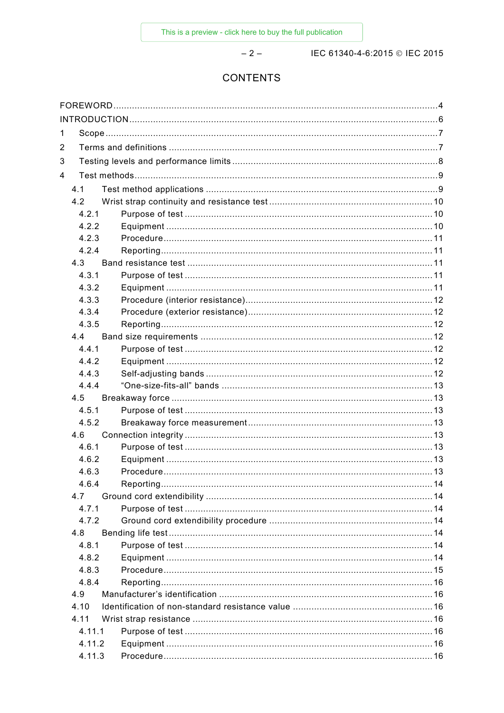$-2-$ 

IEC 61340-4-6:2015 © IEC 2015

## **CONTENTS**

| 1 |        |  |
|---|--------|--|
| 2 |        |  |
| 3 |        |  |
| 4 |        |  |
|   | 4.1    |  |
|   | 4.2    |  |
|   | 4.2.1  |  |
|   | 4.2.2  |  |
|   | 4.2.3  |  |
|   | 4.2.4  |  |
|   | 4.3    |  |
|   | 4.3.1  |  |
|   | 4.3.2  |  |
|   | 4.3.3  |  |
|   | 4.3.4  |  |
|   | 4.3.5  |  |
|   | 4.4    |  |
|   | 4.4.1  |  |
|   | 4.4.2  |  |
|   | 4.4.3  |  |
|   | 4.4.4  |  |
|   | 4.5    |  |
|   | 4.5.1  |  |
|   | 4.5.2  |  |
|   | 4.6    |  |
|   | 4.6.1  |  |
|   | 4.6.2  |  |
|   | 4.6.3  |  |
|   | 4.6.4  |  |
|   | 4.7    |  |
|   | 4.7.1  |  |
|   | 4.7.2  |  |
|   | 4.8    |  |
|   | 4.8.1  |  |
|   | 4.8.2  |  |
|   | 4.8.3  |  |
|   | 4.8.4  |  |
|   | 4.9    |  |
|   | 4.10   |  |
|   | 4.11   |  |
|   | 4.11.1 |  |
|   | 4.11.2 |  |
|   | 4.11.3 |  |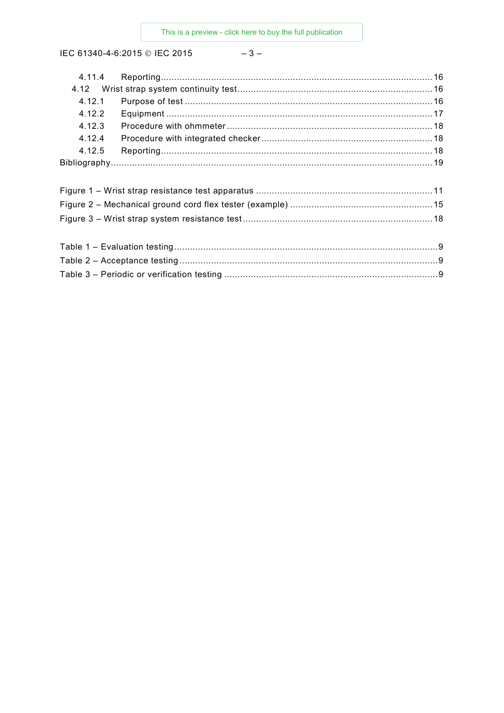IEC 61340-4-6:2015 © IEC 2015

## $-3-$

| 4.11.4 |  |  |  |
|--------|--|--|--|
| 4.12   |  |  |  |
| 4.12.1 |  |  |  |
| 4.12.2 |  |  |  |
| 4.12.3 |  |  |  |
| 4.12.4 |  |  |  |
| 4.12.5 |  |  |  |
|        |  |  |  |
|        |  |  |  |
|        |  |  |  |
|        |  |  |  |
|        |  |  |  |
|        |  |  |  |
|        |  |  |  |
|        |  |  |  |
|        |  |  |  |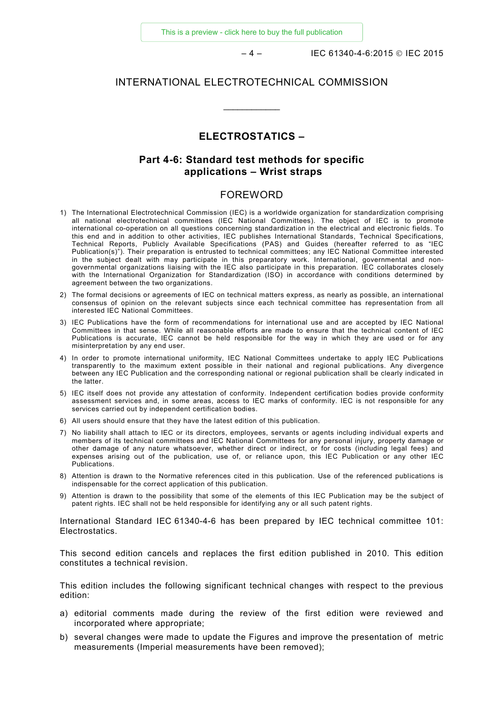[This is a preview - click here to buy the full publication](https://webstore.iec.ch/publication/22486&preview=1)

– 4 – IEC 61340-4-6:2015 IEC 2015

#### INTERNATIONAL ELECTROTECHNICAL COMMISSION

 $\overline{\phantom{a}}$ 

#### **ELECTROSTATICS –**

## **Part 4-6: Standard test methods for specific applications – Wrist straps**

#### FOREWORD

- <span id="page-3-0"></span>1) The International Electrotechnical Commission (IEC) is a worldwide organization for standardization comprising all national electrotechnical committees (IEC National Committees). The object of IEC is to promote international co-operation on all questions concerning standardization in the electrical and electronic fields. To this end and in addition to other activities, IEC publishes International Standards, Technical Specifications, Technical Reports, Publicly Available Specifications (PAS) and Guides (hereafter referred to as "IEC Publication(s)"). Their preparation is entrusted to technical committees; any IEC National Committee interested in the subject dealt with may participate in this preparatory work. International, governmental and nongovernmental organizations liaising with the IEC also participate in this preparation. IEC collaborates closely with the International Organization for Standardization (ISO) in accordance with conditions determined by agreement between the two organizations.
- 2) The formal decisions or agreements of IEC on technical matters express, as nearly as possible, an international consensus of opinion on the relevant subjects since each technical committee has representation from all interested IEC National Committees.
- 3) IEC Publications have the form of recommendations for international use and are accepted by IEC National Committees in that sense. While all reasonable efforts are made to ensure that the technical content of IEC Publications is accurate, IEC cannot be held responsible for the way in which they are used or for any misinterpretation by any end user.
- 4) In order to promote international uniformity, IEC National Committees undertake to apply IEC Publications transparently to the maximum extent possible in their national and regional publications. Any divergence between any IEC Publication and the corresponding national or regional publication shall be clearly indicated in the latter.
- 5) IEC itself does not provide any attestation of conformity. Independent certification bodies provide conformity assessment services and, in some areas, access to IEC marks of conformity. IEC is not responsible for any services carried out by independent certification bodies.
- 6) All users should ensure that they have the latest edition of this publication.
- 7) No liability shall attach to IEC or its directors, employees, servants or agents including individual experts and members of its technical committees and IEC National Committees for any personal injury, property damage or other damage of any nature whatsoever, whether direct or indirect, or for costs (including legal fees) and expenses arising out of the publication, use of, or reliance upon, this IEC Publication or any other IEC Publications.
- 8) Attention is drawn to the Normative references cited in this publication. Use of the referenced publications is indispensable for the correct application of this publication.
- 9) Attention is drawn to the possibility that some of the elements of this IEC Publication may be the subject of patent rights. IEC shall not be held responsible for identifying any or all such patent rights.

International Standard IEC 61340-4-6 has been prepared by IEC technical committee 101: Electrostatics.

This second edition cancels and replaces the first edition published in 2010. This edition constitutes a technical revision.

This edition includes the following significant technical changes with respect to the previous edition:

- a) editorial comments made during the review of the first edition were reviewed and incorporated where appropriate;
- b) several changes were made to update the Figures and improve the presentation of metric measurements (Imperial measurements have been removed);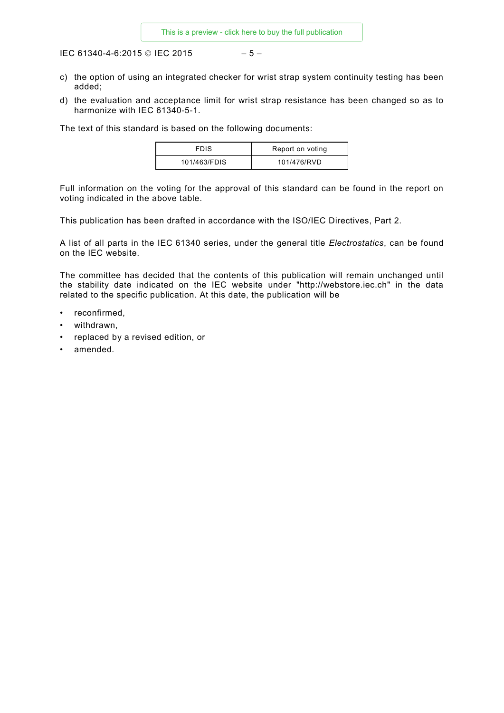IEC 61340-4-6:2015 © IEC 2015 – 5 –

- c) the option of using an integrated checker for wrist strap system continuity testing has been added;
- d) the evaluation and acceptance limit for wrist strap resistance has been changed so as to harmonize with IEC 61340-5-1.

The text of this standard is based on the following documents:

| FDIS         | Report on voting |
|--------------|------------------|
| 101/463/FDIS | 101/476/RVD      |

Full information on the voting for the approval of this standard can be found in the report on voting indicated in the above table.

This publication has been drafted in accordance with the ISO/IEC Directives, Part 2.

A list of all parts in the IEC 61340 series, under the general title *Electrostatics*, can be found on the IEC website.

The committee has decided that the contents of this publication will remain unchanged until the stability date indicated on the IEC website under "http://webstore.iec.ch" in the data related to the specific publication. At this date, the publication will be

- reconfirmed,
- withdrawn,
- replaced by a revised edition, or
- amended.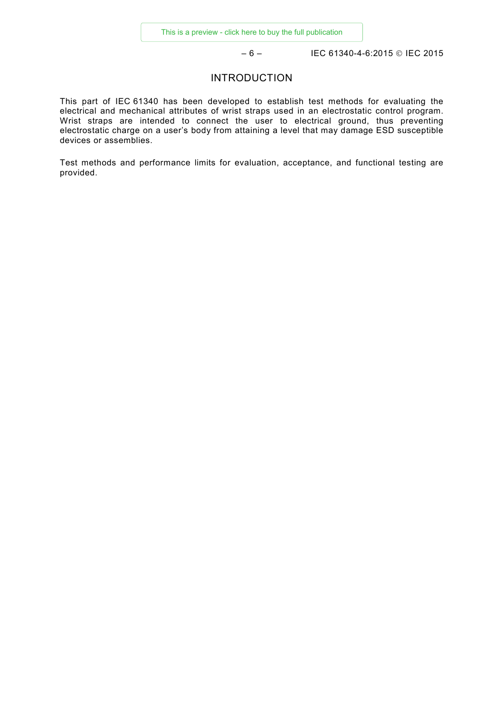$-6 -$  IEC 61340-4-6:2015 © IEC 2015

#### INTRODUCTION

<span id="page-5-0"></span>This part of IEC 61340 has been developed to establish test methods for evaluating the electrical and mechanical attributes of wrist straps used in an electrostatic control program. Wrist straps are intended to connect the user to electrical ground, thus preventing electrostatic charge on a user's body from attaining a level that may damage ESD susceptible devices or assemblies.

Test methods and performance limits for evaluation, acceptance, and functional testing are provided.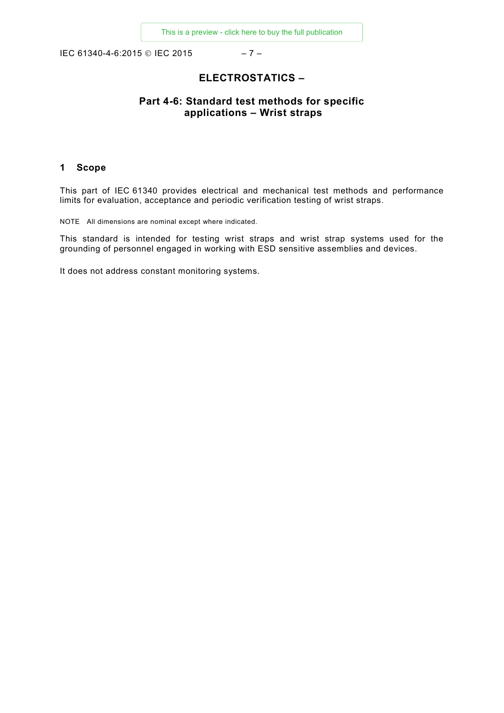IEC 61340-4-6:2015 © IEC 2015 – 7 –

## **ELECTROSTATICS –**

## **Part 4-6: Standard test methods for specific applications – Wrist straps**

#### <span id="page-6-0"></span>**1 Scope**

This part of IEC 61340 provides electrical and mechanical test methods and performance limits for evaluation, acceptance and periodic verification testing of wrist straps.

NOTE All dimensions are nominal except where indicated.

This standard is intended for testing wrist straps and wrist strap systems used for the grounding of personnel engaged in working with ESD sensitive assemblies and devices.

<span id="page-6-1"></span>It does not address constant monitoring systems.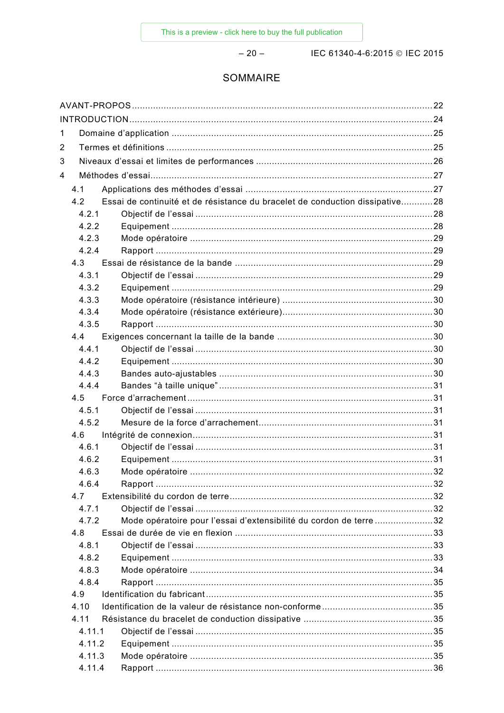$-20-$ 

IEC 61340-4-6:2015 © IEC 2015

## SOMMAIRE

| 1 |             |                                                                              |  |
|---|-------------|------------------------------------------------------------------------------|--|
| 2 |             |                                                                              |  |
| 3 |             |                                                                              |  |
| 4 |             |                                                                              |  |
|   | 4.1         |                                                                              |  |
|   | 4.2         | Essai de continuité et de résistance du bracelet de conduction dissipative28 |  |
|   | 4.2.1       |                                                                              |  |
|   | 4.2.2       |                                                                              |  |
|   | 4.2.3       |                                                                              |  |
|   | 4.2.4       |                                                                              |  |
|   | 4.3         |                                                                              |  |
|   | 4.3.1       |                                                                              |  |
|   | 4.3.2       |                                                                              |  |
|   | 4.3.3       |                                                                              |  |
|   | 4.3.4       |                                                                              |  |
|   | 4.3.5       |                                                                              |  |
|   | 4.4         |                                                                              |  |
|   | 4.4.1       |                                                                              |  |
|   | 4.4.2       |                                                                              |  |
|   | 4.4.3       |                                                                              |  |
|   | 4.4.4       |                                                                              |  |
|   | 4.5         |                                                                              |  |
|   | 4.5.1       |                                                                              |  |
|   | 4.5.2       |                                                                              |  |
|   | 4.6         |                                                                              |  |
|   | 4.6.1       |                                                                              |  |
|   | 4.6.2       |                                                                              |  |
|   | 4.6.3       |                                                                              |  |
|   | 4.6.4       |                                                                              |  |
|   | 4.7         |                                                                              |  |
|   | 4.7.1       |                                                                              |  |
|   | 4.7.2       | Mode opératoire pour l'essai d'extensibilité du cordon de terre 32           |  |
|   | 4.8         |                                                                              |  |
|   | 4.8.1       |                                                                              |  |
|   | 4.8.2       |                                                                              |  |
|   | 4.8.3       |                                                                              |  |
|   | 4.8.4       |                                                                              |  |
|   | 4.9<br>4.10 |                                                                              |  |
|   | 4.11        |                                                                              |  |
|   | 4.11.1      |                                                                              |  |
|   | 4.11.2      |                                                                              |  |
|   | 4.11.3      |                                                                              |  |
|   | 4.11.4      |                                                                              |  |
|   |             |                                                                              |  |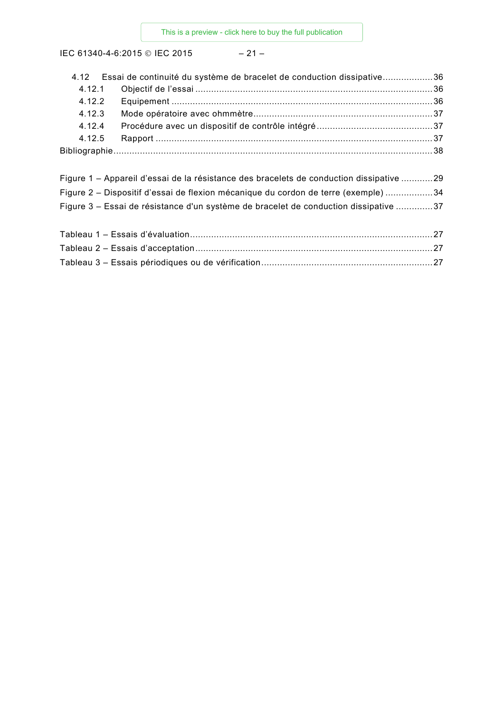IEC 61340-4-6:2015 © IEC 2015 – 21

| 4.12 Essai de continuité du système de bracelet de conduction dissipative36 |  |
|-----------------------------------------------------------------------------|--|
|                                                                             |  |
|                                                                             |  |
| 4.12.3                                                                      |  |
| 4.12.4                                                                      |  |
| 4.12.5                                                                      |  |
|                                                                             |  |

| Figure 1 – Appareil d'essai de la résistance des bracelets de conduction dissipative 29 |  |
|-----------------------------------------------------------------------------------------|--|
| Figure 2 – Dispositif d'essai de flexion mécanique du cordon de terre (exemple) 34      |  |
| Figure 3 – Essai de résistance d'un système de bracelet de conduction dissipative 37    |  |
|                                                                                         |  |
|                                                                                         |  |
|                                                                                         |  |
|                                                                                         |  |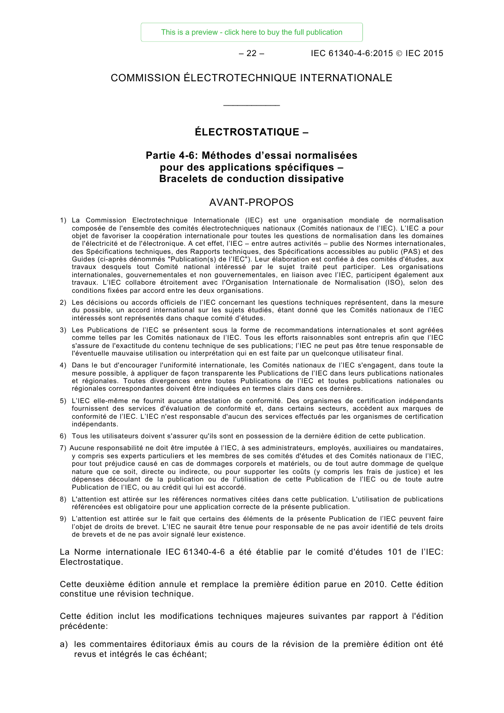[This is a preview - click here to buy the full publication](https://webstore.iec.ch/publication/22486&preview=1)

– 22 – IEC 61340-4-6:2015 IEC 2015

## COMMISSION ÉLECTROTECHNIQUE INTERNATIONALE

 $\overline{\phantom{a}}$ 

## **ÉLECTROSTATIQUE –**

## **Partie 4-6: Méthodes d'essai normalisées pour des applications spécifiques – Bracelets de conduction dissipative**

## AVANT-PROPOS

- <span id="page-9-0"></span>1) La Commission Electrotechnique Internationale (IEC) est une organisation mondiale de normalisation composée de l'ensemble des comités électrotechniques nationaux (Comités nationaux de l'IEC). L'IEC a pour objet de favoriser la coopération internationale pour toutes les questions de normalisation dans les domaines de l'électricité et de l'électronique. A cet effet, l'IEC – entre autres activités – publie des Normes internationales, des Spécifications techniques, des Rapports techniques, des Spécifications accessibles au public (PAS) et des Guides (ci-après dénommés "Publication(s) de l'IEC"). Leur élaboration est confiée à des comités d'études, aux travaux desquels tout Comité national intéressé par le sujet traité peut participer. Les organisations internationales, gouvernementales et non gouvernementales, en liaison avec l'IEC, participent également aux travaux. L'IEC collabore étroitement avec l'Organisation Internationale de Normalisation (ISO), selon des conditions fixées par accord entre les deux organisations.
- 2) Les décisions ou accords officiels de l'IEC concernant les questions techniques représentent, dans la mesure du possible, un accord international sur les sujets étudiés, étant donné que les Comités nationaux de l'IEC intéressés sont représentés dans chaque comité d'études.
- 3) Les Publications de l'IEC se présentent sous la forme de recommandations internationales et sont agréées comme telles par les Comités nationaux de l'IEC. Tous les efforts raisonnables sont entrepris afin que l'IEC s'assure de l'exactitude du contenu technique de ses publications; l'IEC ne peut pas être tenue responsable de l'éventuelle mauvaise utilisation ou interprétation qui en est faite par un quelconque utilisateur final.
- 4) Dans le but d'encourager l'uniformité internationale, les Comités nationaux de l'IEC s'engagent, dans toute la mesure possible, à appliquer de façon transparente les Publications de l'IEC dans leurs publications nationales et régionales. Toutes divergences entre toutes Publications de l'IEC et toutes publications nationales ou régionales correspondantes doivent être indiquées en termes clairs dans ces dernières.
- 5) L'IEC elle-même ne fournit aucune attestation de conformité. Des organismes de certification indépendants fournissent des services d'évaluation de conformité et, dans certains secteurs, accèdent aux marques de conformité de l'IEC. L'IEC n'est responsable d'aucun des services effectués par les organismes de certification indépendants.
- 6) Tous les utilisateurs doivent s'assurer qu'ils sont en possession de la dernière édition de cette publication.
- 7) Aucune responsabilité ne doit être imputée à l'IEC, à ses administrateurs, employés, auxiliaires ou mandataires, y compris ses experts particuliers et les membres de ses comités d'études et des Comités nationaux de l'IEC, pour tout préjudice causé en cas de dommages corporels et matériels, ou de tout autre dommage de quelque nature que ce soit, directe ou indirecte, ou pour supporter les coûts (y compris les frais de justice) et les dépenses découlant de la publication ou de l'utilisation de cette Publication de l'IEC ou de toute autre Publication de l'IEC, ou au crédit qui lui est accordé.
- 8) L'attention est attirée sur les références normatives citées dans cette publication. L'utilisation de publications référencées est obligatoire pour une application correcte de la présente publication.
- 9) L'attention est attirée sur le fait que certains des éléments de la présente Publication de l'IEC peuvent faire l'objet de droits de brevet. L'IEC ne saurait être tenue pour responsable de ne pas avoir identifié de tels droits de brevets et de ne pas avoir signalé leur existence.

La Norme internationale IEC 61340-4-6 a été établie par le comité d'études 101 de l'IEC: Electrostatique.

Cette deuxième édition annule et remplace la première édition parue en 2010. Cette édition constitue une révision technique.

Cette édition inclut les modifications techniques majeures suivantes par rapport à l'édition précédente:

a) les commentaires éditoriaux émis au cours de la révision de la première édition ont été revus et intégrés le cas échéant;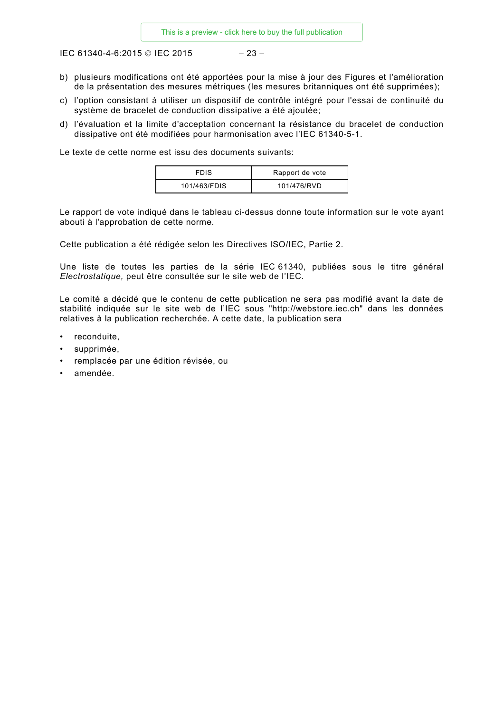IEC 61340-4-6:2015 © IEC 2015 – 23 –

- b) plusieurs modifications ont été apportées pour la mise à jour des Figures et l'amélioration de la présentation des mesures métriques (les mesures britanniques ont été supprimées);
- c) l'option consistant à utiliser un dispositif de contrôle intégré pour l'essai de continuité du système de bracelet de conduction dissipative a été ajoutée;
- d) l'évaluation et la limite d'acceptation concernant la résistance du bracelet de conduction dissipative ont été modifiées pour harmonisation avec l'IEC 61340-5-1.

Le texte de cette norme est issu des documents suivants:

| FDIS         | Rapport de vote |
|--------------|-----------------|
| 101/463/FDIS | 101/476/RVD     |

Le rapport de vote indiqué dans le tableau ci-dessus donne toute information sur le vote ayant abouti à l'approbation de cette norme.

Cette publication a été rédigée selon les Directives ISO/IEC, Partie 2.

Une liste de toutes les parties de la série IEC 61340, publiées sous le titre général *Electrostatique,* peut être consultée sur le site web de l'IEC.

Le comité a décidé que le contenu de cette publication ne sera pas modifié avant la date de stabilité indiquée sur le site web de l'IEC sous "http://webstore.iec.ch" dans les données relatives à la publication recherchée. A cette date, la publication sera

- reconduite,
- supprimée,
- remplacée par une édition révisée, ou
- amendée.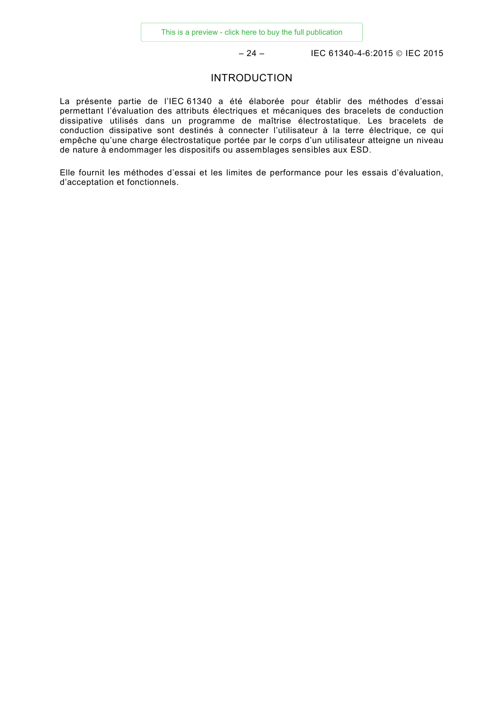– 24 – IEC 61340-4-6:2015 IEC 2015

#### INTRODUCTION

<span id="page-11-0"></span>La présente partie de l'IEC 61340 a été élaborée pour établir des méthodes d'essai permettant l'évaluation des attributs électriques et mécaniques des bracelets de conduction dissipative utilisés dans un programme de maîtrise électrostatique. Les bracelets de conduction dissipative sont destinés à connecter l'utilisateur à la terre électrique, ce qui empêche qu'une charge électrostatique portée par le corps d'un utilisateur atteigne un niveau de nature à endommager les dispositifs ou assemblages sensibles aux ESD.

Elle fournit les méthodes d'essai et les limites de performance pour les essais d'évaluation, d'acceptation et fonctionnels.